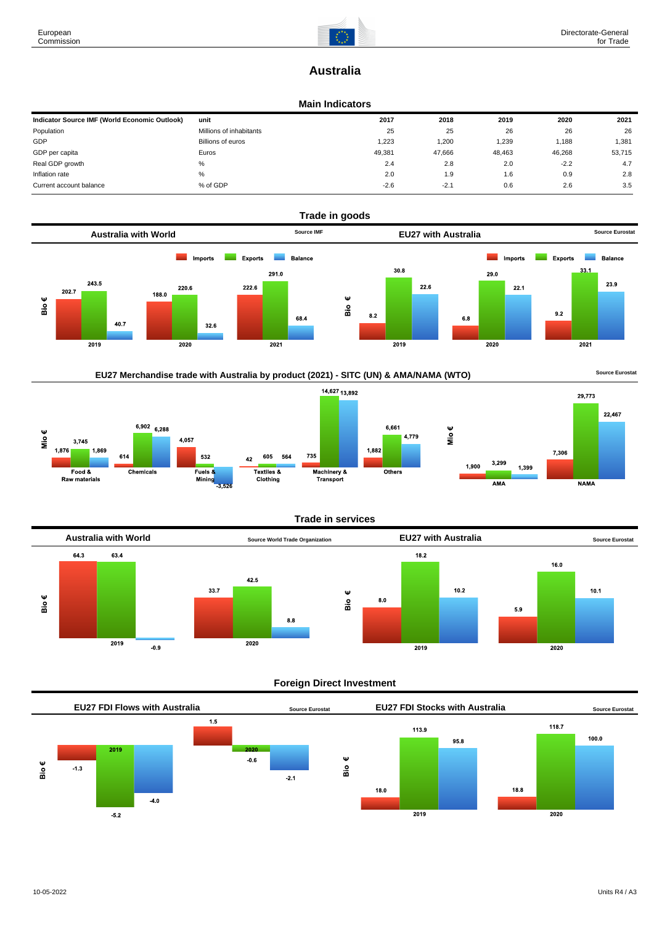

# **Australia**

### **Main Indicators**

| Indicator Source IMF (World Economic Outlook) | unit                    | 2017   | 2018   | 2019   | 2020   | 2021   |
|-----------------------------------------------|-------------------------|--------|--------|--------|--------|--------|
| Population                                    | Millions of inhabitants | 25     | 25     | 26     | 26     | 26     |
| GDP                                           | Billions of euros       | 1.223  | 1,200  | 1,239  | 1.188  | 1,381  |
| GDP per capita                                | Euros                   | 49.381 | 47.666 | 48,463 | 46,268 | 53,715 |
| Real GDP growth                               | %                       | 2.4    | 2.8    | 2.0    | $-2.2$ | 4.7    |
| Inflation rate                                | %                       | 2.0    | 1.9    | 1.6    | 0.9    | 2.8    |
| Current account balance                       | % of GDP                | $-2.6$ | $-2.1$ | 0.6    | 2.6    | 3.5    |





## **Trade in services**



### **Foreign Direct Investment**